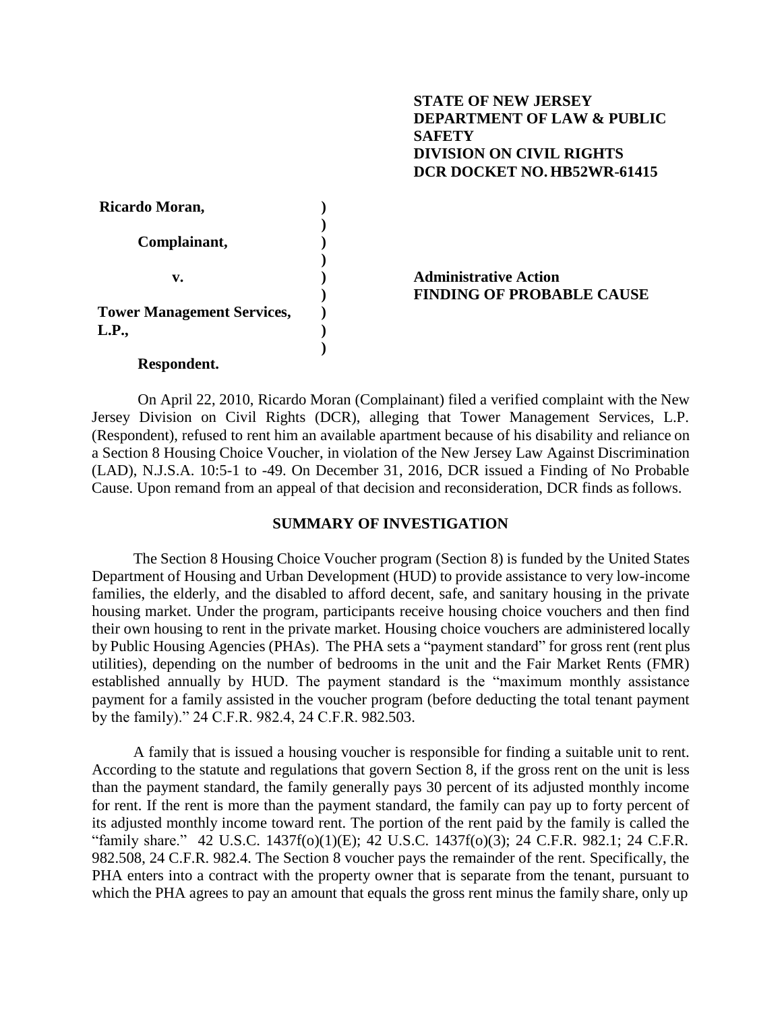## **STATE OF NEW JERSEY DEPARTMENT OF LAW & PUBLIC SAFETY DIVISION ON CIVIL RIGHTS DCR DOCKET NO. HB52WR-61415**

| Ricardo Moran,                    |                                  |
|-----------------------------------|----------------------------------|
|                                   |                                  |
| Complainant,                      |                                  |
|                                   |                                  |
| v.                                | <b>Administrative Action</b>     |
|                                   | <b>FINDING OF PROBABLE CAUSE</b> |
| <b>Tower Management Services,</b> |                                  |
| L.P.,                             |                                  |
|                                   |                                  |

## **Respondent.**

On April 22, 2010, Ricardo Moran (Complainant) filed a verified complaint with the New Jersey Division on Civil Rights (DCR), alleging that Tower Management Services, L.P. (Respondent), refused to rent him an available apartment because of his disability and reliance on a Section 8 Housing Choice Voucher, in violation of the New Jersey Law Against Discrimination (LAD), N.J.S.A. 10:5-1 to -49. On December 31, 2016, DCR issued a Finding of No Probable Cause. Upon remand from an appeal of that decision and reconsideration, DCR finds asfollows.

## **SUMMARY OF INVESTIGATION**

The Section 8 Housing Choice Voucher program (Section 8) is funded by the United States Department of Housing and Urban Development (HUD) to provide assistance to very low-income families, the elderly, and the disabled to afford decent, safe, and sanitary housing in the private housing market. Under the program, participants receive housing choice vouchers and then find their own housing to rent in the private market. Housing choice vouchers are administered locally by Public Housing Agencies (PHAs). The PHA sets a "payment standard" for gross rent (rent plus utilities), depending on the number of bedrooms in the unit and the Fair Market Rents (FMR) established annually by HUD. The payment standard is the "maximum monthly assistance payment for a family assisted in the voucher program (before deducting the total tenant payment by the family)." 24 C.F.R. 982.4, 24 C.F.R. 982.503.

A family that is issued a housing voucher is responsible for finding a suitable unit to rent. According to the statute and regulations that govern Section 8, if the gross rent on the unit is less than the payment standard, the family generally pays 30 percent of its adjusted monthly income for rent. If the rent is more than the payment standard, the family can pay up to forty percent of its adjusted monthly income toward rent. The portion of the rent paid by the family is called the "family share." 42 U.S.C. 1437f(o)(1)(E); 42 U.S.C. 1437f(o)(3); 24 C.F.R. 982.1; 24 C.F.R. 982.508, 24 C.F.R. 982.4. The Section 8 voucher pays the remainder of the rent. Specifically, the PHA enters into a contract with the property owner that is separate from the tenant, pursuant to which the PHA agrees to pay an amount that equals the gross rent minus the family share, only up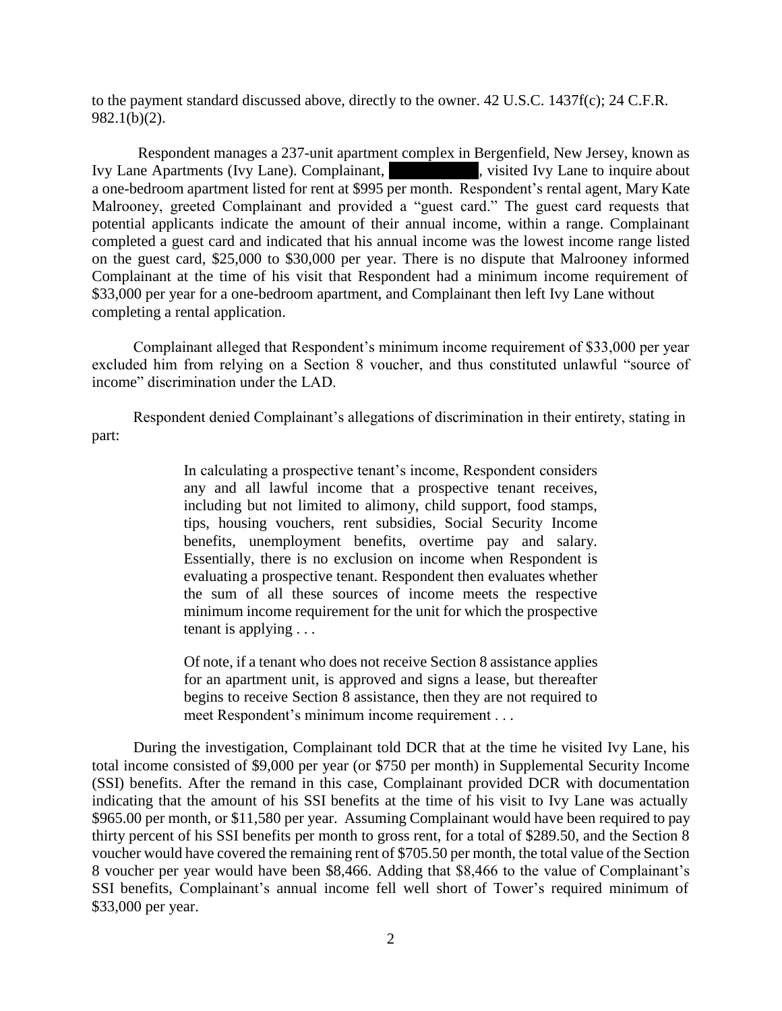to the payment standard discussed above, directly to the owner. 42 U.S.C. 1437f(c); 24 C.F.R. 982.1(b)(2).

Respondent manages a 237-unit apartment complex in Bergenfield, New Jersey, known as Ivy Lane Apartments (Ivy Lane). Complainant, whisted Ivy Lane to inquire about a one-bedroom apartment listed for rent at \$995 per month. Respondent's rental agent, Mary Kate Malrooney, greeted Complainant and provided a "guest card." The guest card requests that potential applicants indicate the amount of their annual income, within a range. Complainant completed a guest card and indicated that his annual income was the lowest income range listed on the guest card, \$25,000 to \$30,000 per year. There is no dispute that Malrooney informed Complainant at the time of his visit that Respondent had a minimum income requirement of \$33,000 per year for a one-bedroom apartment, and Complainant then left Ivy Lane without completing a rental application.

Complainant alleged that Respondent's minimum income requirement of \$33,000 per year excluded him from relying on a Section 8 voucher, and thus constituted unlawful "source of income" discrimination under the LAD.

Respondent denied Complainant's allegations of discrimination in their entirety, stating in part:

> In calculating a prospective tenant's income, Respondent considers any and all lawful income that a prospective tenant receives, including but not limited to alimony, child support, food stamps, tips, housing vouchers, rent subsidies, Social Security Income benefits, unemployment benefits, overtime pay and salary. Essentially, there is no exclusion on income when Respondent is evaluating a prospective tenant. Respondent then evaluates whether the sum of all these sources of income meets the respective minimum income requirement for the unit for which the prospective tenant is applying . . .

> Of note, if a tenant who does not receive Section 8 assistance applies for an apartment unit, is approved and signs a lease, but thereafter begins to receive Section 8 assistance, then they are not required to meet Respondent's minimum income requirement . . .

During the investigation, Complainant told DCR that at the time he visited Ivy Lane, his total income consisted of \$9,000 per year (or \$750 per month) in Supplemental Security Income (SSI) benefits. After the remand in this case, Complainant provided DCR with documentation indicating that the amount of his SSI benefits at the time of his visit to Ivy Lane was actually \$965.00 per month, or \$11,580 per year. Assuming Complainant would have been required to pay thirty percent of his SSI benefits per month to gross rent, for a total of \$289.50, and the Section 8 voucher would have covered the remaining rent of \$705.50 per month, the total value of the Section 8 voucher per year would have been \$8,466. Adding that \$8,466 to the value of Complainant's SSI benefits, Complainant's annual income fell well short of Tower's required minimum of \$33,000 per year.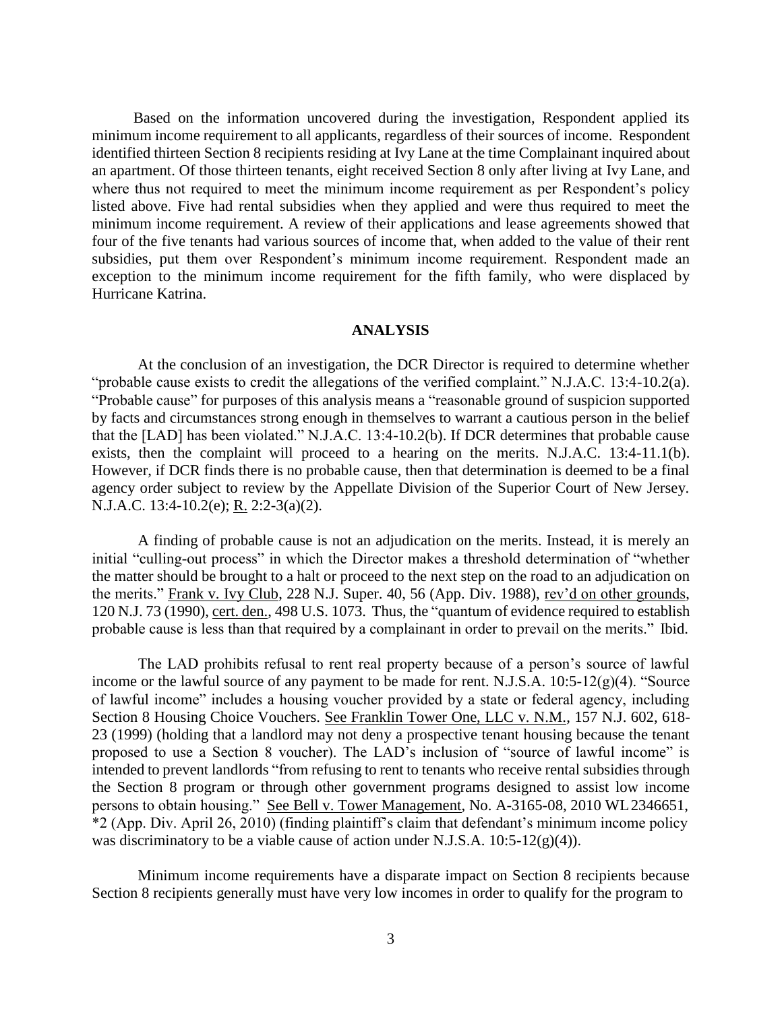Based on the information uncovered during the investigation, Respondent applied its minimum income requirement to all applicants, regardless of their sources of income. Respondent identified thirteen Section 8 recipients residing at Ivy Lane at the time Complainant inquired about an apartment. Of those thirteen tenants, eight received Section 8 only after living at Ivy Lane, and where thus not required to meet the minimum income requirement as per Respondent's policy listed above. Five had rental subsidies when they applied and were thus required to meet the minimum income requirement. A review of their applications and lease agreements showed that four of the five tenants had various sources of income that, when added to the value of their rent subsidies, put them over Respondent's minimum income requirement. Respondent made an exception to the minimum income requirement for the fifth family, who were displaced by Hurricane Katrina.

## **ANALYSIS**

At the conclusion of an investigation, the DCR Director is required to determine whether "probable cause exists to credit the allegations of the verified complaint." N.J.A.C. 13:4-10.2(a). "Probable cause" for purposes of this analysis means a "reasonable ground of suspicion supported by facts and circumstances strong enough in themselves to warrant a cautious person in the belief that the [LAD] has been violated." N.J.A.C. 13:4-10.2(b). If DCR determines that probable cause exists, then the complaint will proceed to a hearing on the merits. N.J.A.C. 13:4-11.1(b). However, if DCR finds there is no probable cause, then that determination is deemed to be a final agency order subject to review by the Appellate Division of the Superior Court of New Jersey. N.J.A.C. 13:4-10.2(e); R. 2:2-3(a)(2).

A finding of probable cause is not an adjudication on the merits. Instead, it is merely an initial "culling-out process" in which the Director makes a threshold determination of "whether the matter should be brought to a halt or proceed to the next step on the road to an adjudication on the merits." Frank v. Ivy Club, 228 N.J. Super. 40, 56 (App. Div. 1988), rev'd on other grounds, 120 N.J. 73 (1990), cert. den., 498 U.S. 1073. Thus, the "quantum of evidence required to establish probable cause is less than that required by a complainant in order to prevail on the merits." Ibid.

The LAD prohibits refusal to rent real property because of a person's source of lawful income or the lawful source of any payment to be made for rent. N.J.S.A. 10:5-12(g)(4). "Source of lawful income" includes a housing voucher provided by a state or federal agency, including Section 8 Housing Choice Vouchers. See Franklin Tower One, LLC v. N.M., 157 N.J. 602, 618- 23 (1999) (holding that a landlord may not deny a prospective tenant housing because the tenant proposed to use a Section 8 voucher). The LAD's inclusion of "source of lawful income" is intended to prevent landlords "from refusing to rent to tenants who receive rental subsidies through the Section 8 program or through other government programs designed to assist low income persons to obtain housing." See Bell v. Tower Management, No. A-3165-08, 2010 WL2346651, \*2 (App. Div. April 26, 2010) (finding plaintiff's claim that defendant's minimum income policy was discriminatory to be a viable cause of action under N.J.S.A. 10:5-12(g)(4)).

Minimum income requirements have a disparate impact on Section 8 recipients because Section 8 recipients generally must have very low incomes in order to qualify for the program to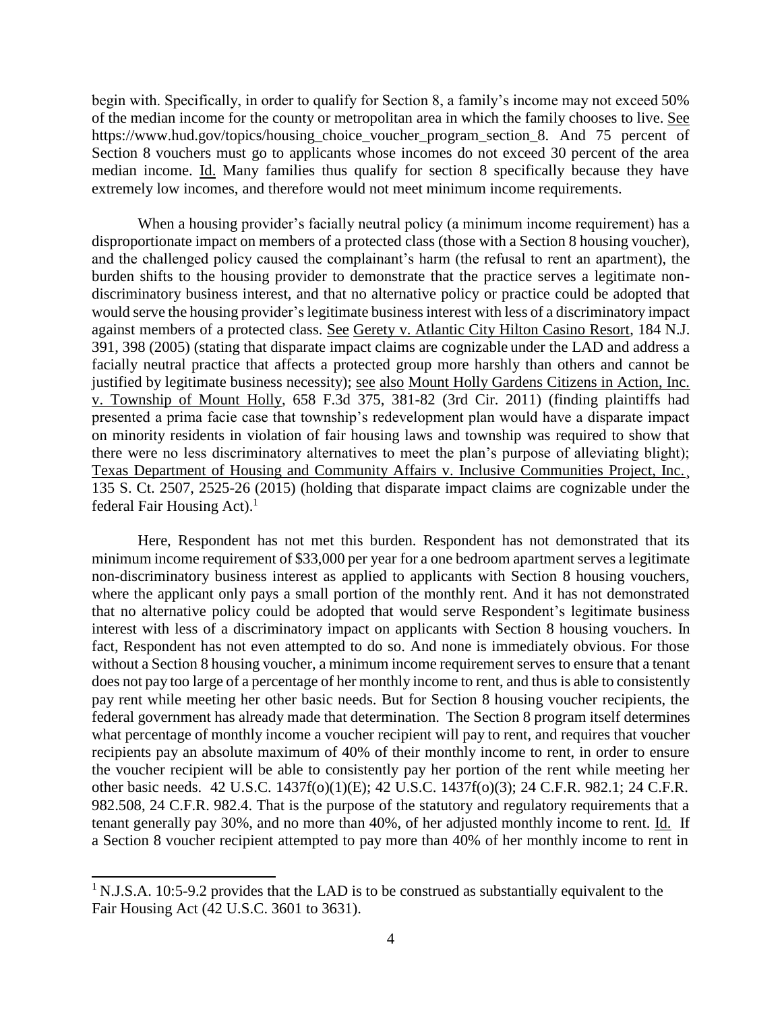begin with. Specifically, in order to qualify for Section 8, a family's income may not exceed 50% of the median income for the county or metropolitan area in which the family chooses to live. See https:/[/www.hud.gov/topics/housing\\_choice\\_voucher\\_program\\_section\\_8.](http://www.hud.gov/topics/housing_choice_voucher_program_section_8) And 75 percent of Section 8 vouchers must go to applicants whose incomes do not exceed 30 percent of the area median income. Id. Many families thus qualify for section 8 specifically because they have extremely low incomes, and therefore would not meet minimum income requirements.

When a housing provider's facially neutral policy (a minimum income requirement) has a disproportionate impact on members of a protected class (those with a Section 8 housing voucher), and the challenged policy caused the complainant's harm (the refusal to rent an apartment), the burden shifts to the housing provider to demonstrate that the practice serves a legitimate nondiscriminatory business interest, and that no alternative policy or practice could be adopted that would serve the housing provider's legitimate business interest with less of a discriminatory impact against members of a protected class. See Gerety v. Atlantic City Hilton Casino Resort, 184 N.J. 391, 398 (2005) (stating that disparate impact claims are cognizable under the LAD and address a facially neutral practice that affects a protected group more harshly than others and cannot be justified by legitimate business necessity); see also Mount Holly Gardens Citizens in Action, Inc. v. Township of Mount Holly, 658 F.3d 375, 381-82 (3rd Cir. 2011) (finding plaintiffs had presented a prima facie case that township's redevelopment plan would have a disparate impact on minority residents in violation of fair housing laws and township was required to show that there were no less discriminatory alternatives to meet the plan's purpose of alleviating blight); Texas Department of Housing and Community Affairs v. Inclusive Communities Project, Inc.¸ 135 S. Ct. 2507, 2525-26 (2015) (holding that disparate impact claims are cognizable under the federal Fair Housing Act).<sup>[1](#page-3-0)</sup>

Here, Respondent has not met this burden. Respondent has not demonstrated that its minimum income requirement of \$33,000 per year for a one bedroom apartment serves a legitimate non-discriminatory business interest as applied to applicants with Section 8 housing vouchers, where the applicant only pays a small portion of the monthly rent. And it has not demonstrated that no alternative policy could be adopted that would serve Respondent's legitimate business interest with less of a discriminatory impact on applicants with Section 8 housing vouchers. In fact, Respondent has not even attempted to do so. And none is immediately obvious. For those without a Section 8 housing voucher, a minimum income requirement serves to ensure that a tenant does not pay too large of a percentage of her monthly income to rent, and thus is able to consistently pay rent while meeting her other basic needs. But for Section 8 housing voucher recipients, the federal government has already made that determination. The Section 8 program itself determines what percentage of monthly income a voucher recipient will pay to rent, and requires that voucher recipients pay an absolute maximum of 40% of their monthly income to rent, in order to ensure the voucher recipient will be able to consistently pay her portion of the rent while meeting her other basic needs. 42 U.S.C. 1437f(o)(1)(E); 42 U.S.C. 1437f(o)(3); 24 C.F.R. 982.1; 24 C.F.R. 982.508, 24 C.F.R. 982.4. That is the purpose of the statutory and regulatory requirements that a tenant generally pay 30%, and no more than 40%, of her adjusted monthly income to rent. Id. If a Section 8 voucher recipient attempted to pay more than 40% of her monthly income to rent in

<span id="page-3-0"></span><sup>&</sup>lt;sup>1</sup> N.J.S.A. 10:5-9.2 provides that the LAD is to be construed as substantially equivalent to the Fair Housing Act (42 U.S.C. 3601 to 3631).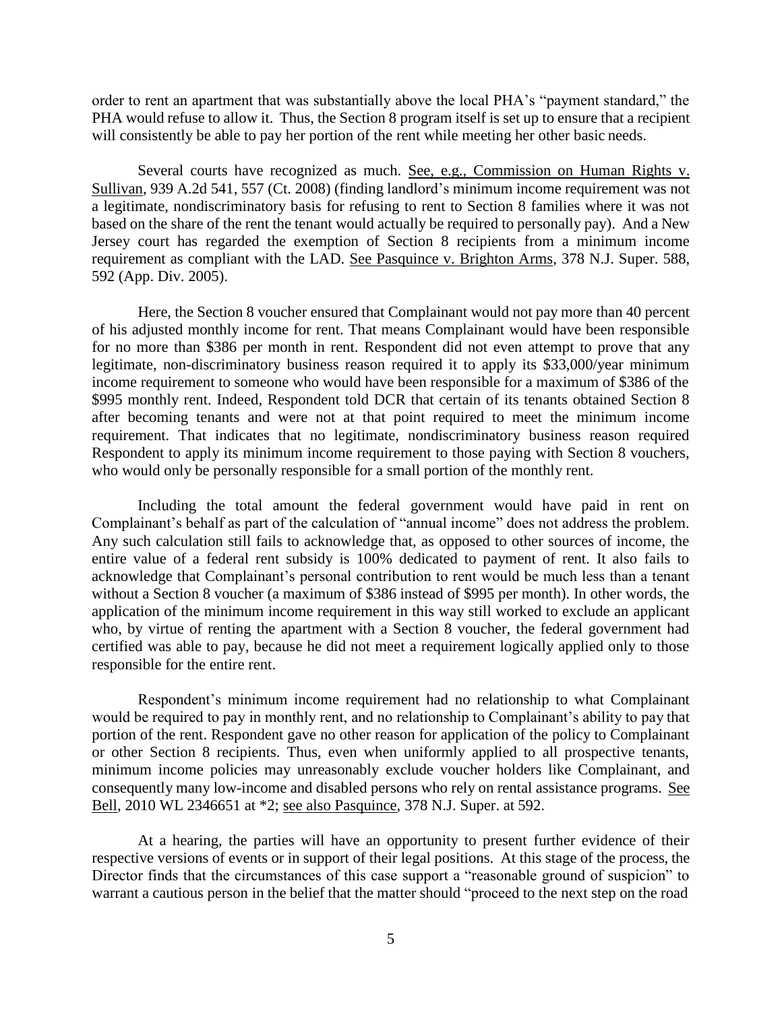order to rent an apartment that was substantially above the local PHA's "payment standard," the PHA would refuse to allow it. Thus, the Section 8 program itself is set up to ensure that a recipient will consistently be able to pay her portion of the rent while meeting her other basic needs.

Several courts have recognized as much. See, e.g., Commission on Human Rights v. Sullivan, 939 A.2d 541, 557 (Ct. 2008) (finding landlord's minimum income requirement was not a legitimate, nondiscriminatory basis for refusing to rent to Section 8 families where it was not based on the share of the rent the tenant would actually be required to personally pay). And a New Jersey court has regarded the exemption of Section 8 recipients from a minimum income requirement as compliant with the LAD. See Pasquince v. Brighton Arms, 378 N.J. Super. 588, 592 (App. Div. 2005).

Here, the Section 8 voucher ensured that Complainant would not pay more than 40 percent of his adjusted monthly income for rent. That means Complainant would have been responsible for no more than \$386 per month in rent. Respondent did not even attempt to prove that any legitimate, non-discriminatory business reason required it to apply its \$33,000/year minimum income requirement to someone who would have been responsible for a maximum of \$386 of the \$995 monthly rent. Indeed, Respondent told DCR that certain of its tenants obtained Section 8 after becoming tenants and were not at that point required to meet the minimum income requirement. That indicates that no legitimate, nondiscriminatory business reason required Respondent to apply its minimum income requirement to those paying with Section 8 vouchers, who would only be personally responsible for a small portion of the monthly rent.

Including the total amount the federal government would have paid in rent on Complainant's behalf as part of the calculation of "annual income" does not address the problem. Any such calculation still fails to acknowledge that, as opposed to other sources of income, the entire value of a federal rent subsidy is 100% dedicated to payment of rent. It also fails to acknowledge that Complainant's personal contribution to rent would be much less than a tenant without a Section 8 voucher (a maximum of \$386 instead of \$995 per month). In other words, the application of the minimum income requirement in this way still worked to exclude an applicant who, by virtue of renting the apartment with a Section 8 voucher, the federal government had certified was able to pay, because he did not meet a requirement logically applied only to those responsible for the entire rent.

Respondent's minimum income requirement had no relationship to what Complainant would be required to pay in monthly rent, and no relationship to Complainant's ability to pay that portion of the rent. Respondent gave no other reason for application of the policy to Complainant or other Section 8 recipients. Thus, even when uniformly applied to all prospective tenants, minimum income policies may unreasonably exclude voucher holders like Complainant, and consequently many low-income and disabled persons who rely on rental assistance programs. See Bell, 2010 WL 2346651 at \*2; see also Pasquince, 378 N.J. Super. at 592.

At a hearing, the parties will have an opportunity to present further evidence of their respective versions of events or in support of their legal positions. At this stage of the process, the Director finds that the circumstances of this case support a "reasonable ground of suspicion" to warrant a cautious person in the belief that the matter should "proceed to the next step on the road